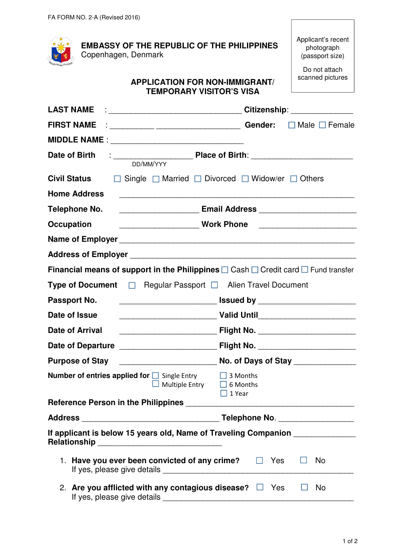| FA FUNIVI NU. Z-A (NEVISEU ZUTO)                                                                                                                                                                                                                                                                                   |                                                                                                                         |  |  |
|--------------------------------------------------------------------------------------------------------------------------------------------------------------------------------------------------------------------------------------------------------------------------------------------------------------------|-------------------------------------------------------------------------------------------------------------------------|--|--|
| <b>EMBASSY OF THE REPUBLIC OF THE PHILIPPINES</b><br>Copenhagen, Denmark                                                                                                                                                                                                                                           | Applicant's recent<br>photograph<br>(passport size)                                                                     |  |  |
| <b>APPLICATION FOR NON-IMMIGRANT/</b><br><b>TEMPORARY VISITOR'S VISA</b>                                                                                                                                                                                                                                           | Do not attach<br>scanned pictures                                                                                       |  |  |
|                                                                                                                                                                                                                                                                                                                    |                                                                                                                         |  |  |
| FIRST NAME : $\frac{1}{2}$ $\frac{1}{2}$ $\frac{1}{2}$ $\frac{1}{2}$ $\frac{1}{2}$ $\frac{1}{2}$ $\frac{1}{2}$ $\frac{1}{2}$ $\frac{1}{2}$ $\frac{1}{2}$ $\frac{1}{2}$ $\frac{1}{2}$ $\frac{1}{2}$ $\frac{1}{2}$ $\frac{1}{2}$ $\frac{1}{2}$ $\frac{1}{2}$ $\frac{1}{2}$ $\frac{1}{2}$ $\frac{1}{2}$ $\frac{1}{2}$ |                                                                                                                         |  |  |
|                                                                                                                                                                                                                                                                                                                    |                                                                                                                         |  |  |
| Date of Birth<br>DD/MM/YYY                                                                                                                                                                                                                                                                                         |                                                                                                                         |  |  |
| <b>Civil Status</b>                                                                                                                                                                                                                                                                                                | $\Box$ Single $\Box$ Married $\Box$ Divorced $\Box$ Widow/er $\Box$ Others                                              |  |  |
| <b>Home Address</b>                                                                                                                                                                                                                                                                                                |                                                                                                                         |  |  |
| Telephone No.                                                                                                                                                                                                                                                                                                      |                                                                                                                         |  |  |
| <b>Occupation</b>                                                                                                                                                                                                                                                                                                  | <b>Mork Phone</b> Work Phone                                                                                            |  |  |
|                                                                                                                                                                                                                                                                                                                    |                                                                                                                         |  |  |
|                                                                                                                                                                                                                                                                                                                    |                                                                                                                         |  |  |
| <b>Financial means of support in the Philippines</b> $\square$ Cash $\square$ Credit card $\square$ Fund transfer                                                                                                                                                                                                  |                                                                                                                         |  |  |
| Type of Document □ Regular Passport □ Alien Travel Document                                                                                                                                                                                                                                                        |                                                                                                                         |  |  |
| Passport No.                                                                                                                                                                                                                                                                                                       | <u>issued by the contract of the set of the set of the set of the set of the set of the set of the set of the set o</u> |  |  |
| Date of Issue                                                                                                                                                                                                                                                                                                      |                                                                                                                         |  |  |
| <b>Date of Arrival</b>                                                                                                                                                                                                                                                                                             |                                                                                                                         |  |  |
|                                                                                                                                                                                                                                                                                                                    |                                                                                                                         |  |  |
| <b>Purpose of Stay</b>                                                                                                                                                                                                                                                                                             |                                                                                                                         |  |  |
| <b>Number of entries applied for</b> $\Box$ Single Entry $\Box$ 3 Months<br>$\Box$ Multiple Entry $\Box$ 6 Months                                                                                                                                                                                                  | $\Box$ 1 Year                                                                                                           |  |  |
|                                                                                                                                                                                                                                                                                                                    |                                                                                                                         |  |  |
|                                                                                                                                                                                                                                                                                                                    |                                                                                                                         |  |  |
| If applicant is below 15 years old, Name of Traveling Companion _______________                                                                                                                                                                                                                                    |                                                                                                                         |  |  |
| 1. Have you ever been convicted of any crime? $\Box$ Yes<br>No                                                                                                                                                                                                                                                     |                                                                                                                         |  |  |
| 2. Are you afflicted with any contagious disease? $\Box$ Yes                                                                                                                                                                                                                                                       | No<br>⊔                                                                                                                 |  |  |